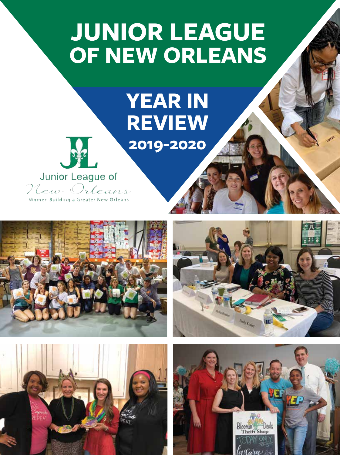# **JUNIOR LEAGUE OF NEW ORLEANS**

# **YEAR IN REVIEW 2019-2020**



Junior League of New Orleans Women Building a Greater New Orleans







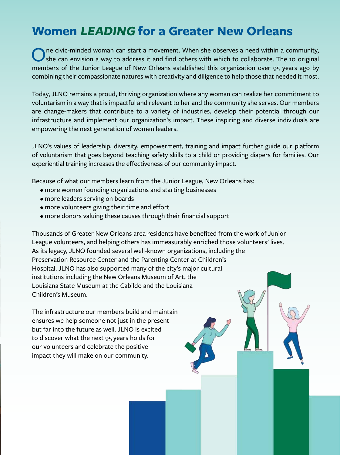### **Women LEADING for a Greater New Orleans**

The civic-minded woman can start a movement. When she observes a need within a community, she can envision a way to address it and find others with which to collaborate. The 10 original members of the Junior League of New Orleans established this organization over 95 years ago by combining their compassionate natures with creativity and diligence to help those that needed it most.

Today, JLNO remains a proud, thriving organization where any woman can realize her commitment to voluntarism in a way that is impactful and relevant to her and the community she serves. Our members are change-makers that contribute to a variety of industries, develop their potential through our infrastructure and implement our organization's impact. These inspiring and diverse individuals are empowering the next generation of women leaders.

JLNO's values of leadership, diversity, empowerment, training and impact further guide our platform of voluntarism that goes beyond teaching safety skills to a child or providing diapers for families. Our experiential training increases the effectiveness of our community impact.

Because of what our members learn from the Junior League, New Orleans has:

- more women founding organizations and starting businesses
- more leaders serving on boards
- more volunteers giving their time and effort
- more donors valuing these causes through their financial support

Thousands of Greater New Orleans area residents have benefited from the work of Junior League volunteers, and helping others has immeasurably enriched those volunteers' lives. As its legacy, JLNO founded several well-known organizations, including the Preservation Resource Center and the Parenting Center at Children's Hospital. JLNO has also supported many of the city's major cultural institutions including the New Orleans Museum of Art, the Louisiana State Museum at the Cabildo and the Louisiana Children's Museum.

The infrastructure our members build and maintain ensures we help someone not just in the present but far into the future as well. JLNO is excited to discover what the next 95 years holds for our volunteers and celebrate the positive impact they will make on our community.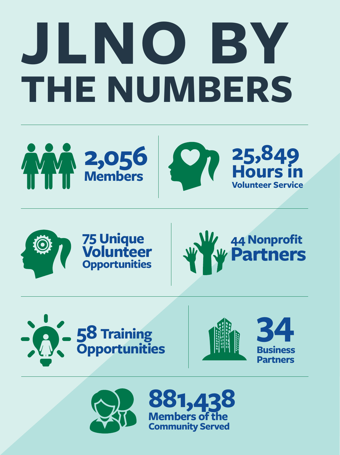# **JLNO BY THE NUMBERS**





# **75 Unique Volunteer Opportunities**









**881,438 Members of the Community Served**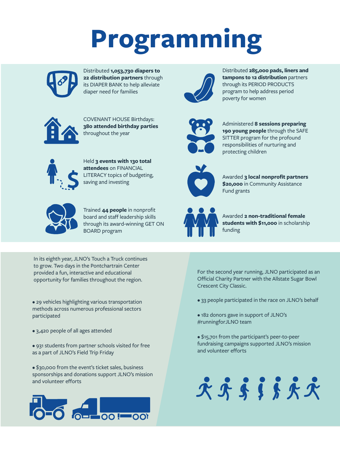# **Programming**



Distributed **1,053,730 diapers to 22 distribution partners** through its DIAPER BANK to help alleviate diaper need for families



Distributed **285,000 pads, liners and tampons to 12 distribution** partners through its PERIOD PRODUCTS program to help address period poverty for women



COVENANT HOUSE Birthdays: **380 attended birthday parties** throughout the year



Held **3 events with 130 total attendees** on FINANCIAL LITERACY topics of budgeting, saving and investing



Trained **44 people** in nonprofit board and staff leadership skills through its award-winning GET ON BOARD program



Administered **8 sessions preparing 190 young people** through the SAFE SITTER program for the profound responsibilities of nurturing and protecting children



Awarded **3 local nonprofit partners \$20,000** in Community Assistance Fund grants



Awarded **2 non-traditional female students with \$11,000** in scholarship funding

In its eighth year, JLNO's Touch a Truck continues to grow. Two days in the Pontchartrain Center provided a fun, interactive and educational opportunity for families throughout the region.

- 29 vehicles highlighting various transportation methods across numerous professional sectors participated
- 3,420 people of all ages attended
- 931 students from partner schools visited for free as a part of JLNO's Field Trip Friday

• \$30,000 from the event's ticket sales, business sponsorships and donations support JLNO's mission and volunteer efforts



For the second year running, JLNO participated as an Official Charity Partner with the Allstate Sugar Bowl Crescent City Classic.

- 33 people participated in the race on JLNO's behalf
- 182 donors gave in support of JLNO's #runningforJLNO team
- \$15,701 from the participant's peer-to-peer fundraising campaigns supported JLNO's mission and volunteer efforts

\*\*\*\*\*\*\*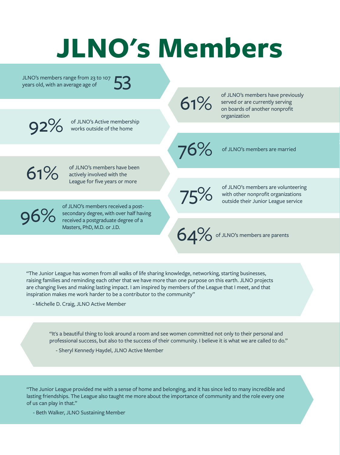# **JLNO's Members**

JLNO's members range from 23 to 107 years old, with an average age of 53

of JLNO's members have previously served or are currently serving of JLNO's members have previo<br>
served or are currently serving<br>
on boards of another nonprofit organization

of JLNO's Active membership **92%** of JLNO's Active members<br>works outside of the home

76%

of JLNO's members are married

61%

of JLNO's members have been actively involved with the League for five years or more

of JLNO's members received a postsecondary degree, with over half having

of JLNO's members are volunteering with other nonprofit organizations of JLNO's members are volunteerin<br>with other nonprofit organizations<br>outside their Junior League service

64% of JLNO's members are parents

"The Junior League has women from all walks of life sharing knowledge, networking, starting businesses, raising families and reminding each other that we have more than one purpose on this earth. JLNO projects are changing lives and making lasting impact. I am inspired by members of the League that I meet, and that inspiration makes me work harder to be a contributor to the community"

- Michelle D. Craig, JLNO Active Member

**96%** or JLNO's members received a post-<br>
received a postgraduate degree of a

Masters, PhD, M.D. or J.D.

"It's a beautiful thing to look around a room and see women committed not only to their personal and professional success, but also to the success of their community. I believe it is what we are called to do."

- Sheryl Kennedy Haydel, JLNO Active Member

"The Junior League provided me with a sense of home and belonging, and it has since led to many incredible and lasting friendships. The League also taught me more about the importance of community and the role every one of us can play in that."

- Beth Walker, JLNO Sustaining Member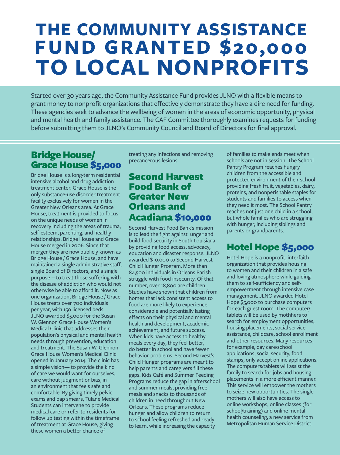# **FUND GRANTED \$20,000 THE COMMUNITY ASSISTANCE TO LOCAL NONPROFITS**

Started over 30 years ago, the Community Assistance Fund provides JLNO with a flexible means to grant money to nonprofit organizations that effectively demonstrate they have a dire need for funding. These agencies seek to advance the wellbeing of women in the areas of economic opportunity, physical and mental health and family assistance. The CAF Committee thoroughly examines requests for funding before submitting them to JLNO's Community Council and Board of Directors for final approval.

#### Bridge House/ Grace House \$5,000

Bridge House is a long-term residential intensive alcohol and drug addiction treatment center. Grace House is the only substance-use disorder treatment facility exclusively for women in the Greater New Orleans area. At Grace House, treatment is provided to focus on the unique needs of women in recovery including the areas of trauma, self-esteem, parenting, and healthy relationships. Bridge House and Grace House merged in 2006. Since that merger they are now publicly known as Bridge House / Grace House, and have maintained a single administrative staff, single Board of Directors, and a single purpose -- to treat those suffering with the disease of addiction who would not otherwise be able to afford it. Now as one organization, Bridge House / Grace House treats over 700 individuals per year, with 150 licensed beds. JLNO awarded \$5,000 for the Susan W. Glennon Grace House Women's Medical Clinic that addresses their population's physical and mental health needs through prevention, education and treatment. The Susan W. Glennon Grace House Women's Medical Clinic opened in January 2014. The clinic has a simple vision— to provide the kind of care we would want for ourselves, care without judgment or bias, in an environment that feels safe and comfortable. By giving timely pelvic exams and pap smears, Tulane Medical Students can intervene to provide medical care or refer to residents for follow up testing within the timeframe of treatment at Grace House, giving these women a better chance of

treating any infections and removing precancerous lesions.

#### Second Harvest Food Bank of Greater New Orleans and Acadiana \$10,000

Second Harvest Food Bank's mission is to lead the fight against unger and build food security in South Louisiana by providing food access, advocacy, education and disaster response. JLNO awarded \$10,000 to Second Harvest Child Hunger Program. More than 84,500 individuals in Orleans Parish struggle with food insecurity. Of that number, over 18,800 are children. Studies have shown that children from homes that lack consistent access to food are more likely to experience considerable and potentially lasting effects on their physical and mental health and development, academic achievement, and future success. When kids have access to healthy meals every day, they feel better, do better in school and have fewer behavior problems. Second Harvest's Child Hunger programs are meant to help parents and caregivers fill these gaps. Kids Café and Summer Feeding Programs reduce the gap in afterschool and summer meals, providing free meals and snacks to thousands of children in need throughout New Orleans. These programs reduce hunger and allow children to return to school feeling refreshed and ready to learn, while increasing the capacity

of families to make ends meet when schools are not in session. The School Pantry Program reaches hungry children from the accessible and protected environment of their school, providing fresh fruit, vegetables, dairy, proteins, and nonperishable staples for students and families to access when they need it most. The School Pantry reaches not just one child in a school, but whole families who are struggling with hunger, including siblings and parents or grandparents.

#### Hotel Hope \$5,000

Hotel Hope is a nonprofit, interfaith organization that provides housing to women and their children in a safe and loving atmosphere while guiding them to self-sufficiency and selfempowerment through intensive case management. JLNO awarded Hotel Hope \$5,000 to purchase computers for each guest room. The computer/ tablets will be used by mothhers to search for employment opportunities, housing placements, social service assistance, childcare, school enrollment and other resources. Many resources, for example, day care/school applications, social security, food stamps, only accept online applications. The computers/tablets will assist the family to search for jobs and housing placements in a more efficient manner. This service will empower the mothers to seize new opportunities. The single mothers will also have access to online workshops, online classes (for school/training) and online mental health counseling, a new service from Metropolitan Human Service District.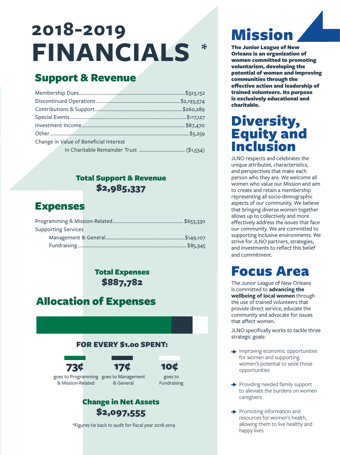## **2018-2019 FINANCIALS \***

#### Support & Revenue

| Change in Value of Beneficial Interest |  |
|----------------------------------------|--|
|                                        |  |

#### Total Support & Revenue \$2,985,337

#### Expenses

| <b>Supporting Services</b> |  |
|----------------------------|--|
|                            |  |
|                            |  |

Total Expenses \$887,782

#### Allocation of Expenses







goes to Programming goes to Management & Mission-Related & General

goes to Fundraising

#### Change in Net Assets \$2,097,555

\*Figures tie back to audit for fiscal year 2018-2019

# Mission

The Junior League of New Orleans is an organization of women committed to promoting voluntarism, developing the potential of women and improving communities through the effective action and leadership of trained volunteers. Its purpose is exclusively educational and charitable.

# Diversity,<br>Equity and Inclusion

JLNO respects and celebrates the unique attributes, characteristics, and perspectives that make each person who they are. We welcome all women who value our Mission and aim to create and retain a membership representing all socio-demographic aspects of our community. We believe that bringing diverse women together allows up to collectively and more effectively address the issues that face our community. We are committed to supporting inclusive environments. We strive for JLNO partners, strategies, and investments to reflect this belief and commitment.

### Focus Area

The Junior League of New Orleans is committed to **advancing the wellbeing of local women** through the use of trained volunteers that provide direct service, educate the community and advocate for issues that affect women.

JLNO specifically works to tackle three strategic goals:

- $\rightarrow$  Improving economic opportunities for women and supporting women's potential to seize those opportunities
- Providing needed family support to alleviate the burdens on women caregivers
- $\rightarrow$  Promoting information and resources for women's health, allowing them to live healthy and happy lives